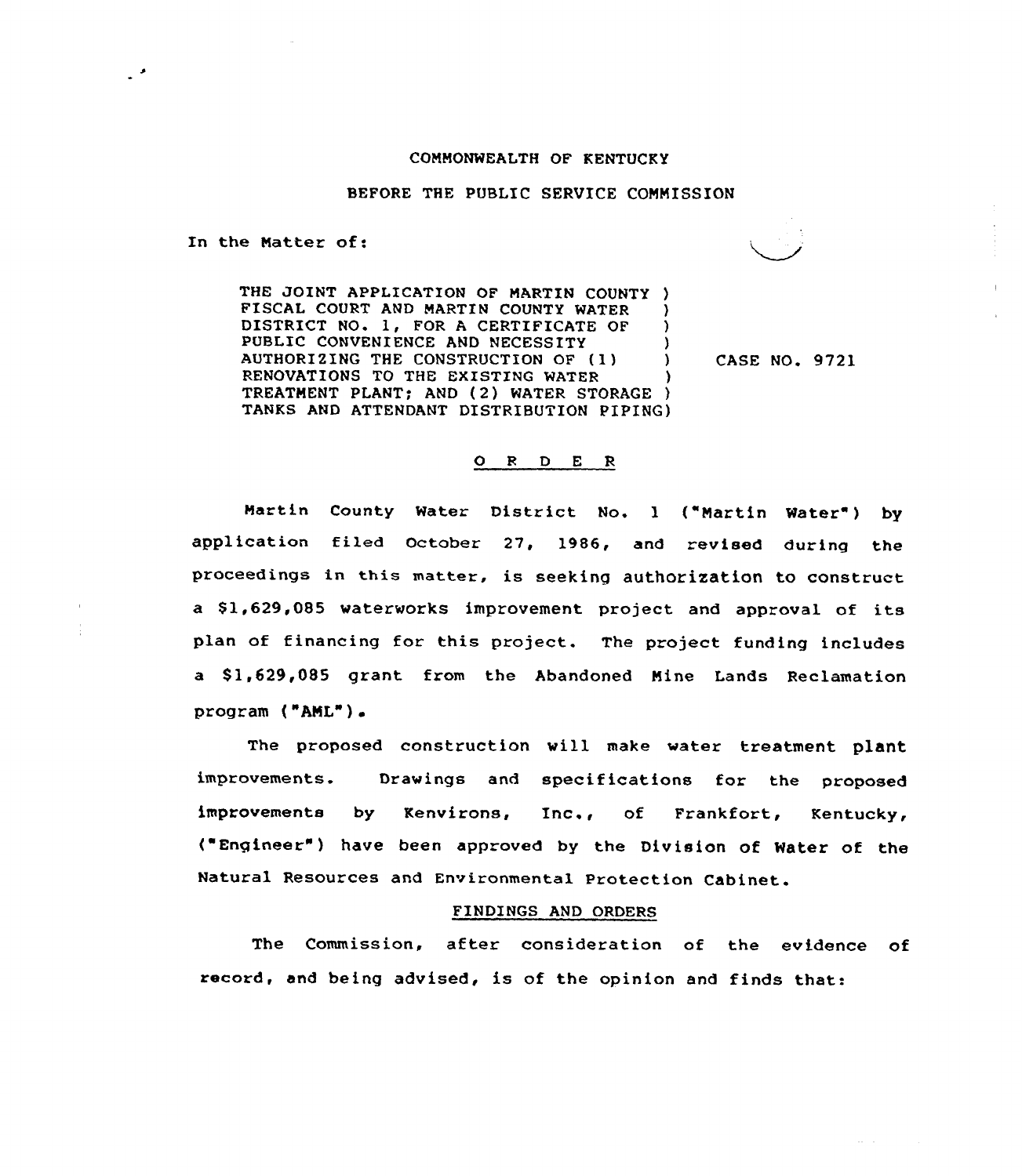## COMMONWEALTH OF KENTUCKY

## BEFORE THE PUBLIC SERVICE COMMISSION

In the Matter of:

 $\mathcal{L}$ 

THE JOINT APPLICATION OF MARTIN COUNTY )<br>FISCAL COURT AND MARTIN COUNTY WATER FISCAL COURT AND MARTIN COUNTY WATER )<br>DISTRICT NO. 1. FOR A CERTIFICATE OF ) DISTRICT NO. 1, FOR A CERTIFICATE OF )<br>PUBLIC CONVENIENCE AND NECESSITY PUBLIC CONVENIENCE AND NECESSITY (1) (2) AUTHORIZING THE CONSTRUCTION OF (1) ) RENOVATIONS TO THE EXISTING WATER TREATMENT PLANT; AND (2) WATER STORAGE ) TANKS AND ATTENDANT DISTRIBUTION PIPING)

CASE NO. 9721

## 0 <sup>R</sup> <sup>D</sup> <sup>E</sup> <sup>R</sup>

Martin County Water District No. 1 ("Martin Water") by application filed October 27, 1986, and revised during the proceedings in this matter, is seeking authorization to construct a \$1,629,085 waterworks improvement project and approval of its plan of financing for this project. The project funding includes a \$1,629,085 grant from the Abandoned Mine Lands Reclamation program ("AML")

The proposed construction will make water treatment plant improvements. Drawings and specifications for the proposed improvements by Kenvirons, Inc., of Frankfort, Kentucky, ( Engineer" ) have been approved by the Division of Water of the Natural Resources and Environmental Protection Cabinet.

## FINDINGS AND ORDERS

The Commission, after consideration of the evidence of record, and being advised, is of the opinion and finds that: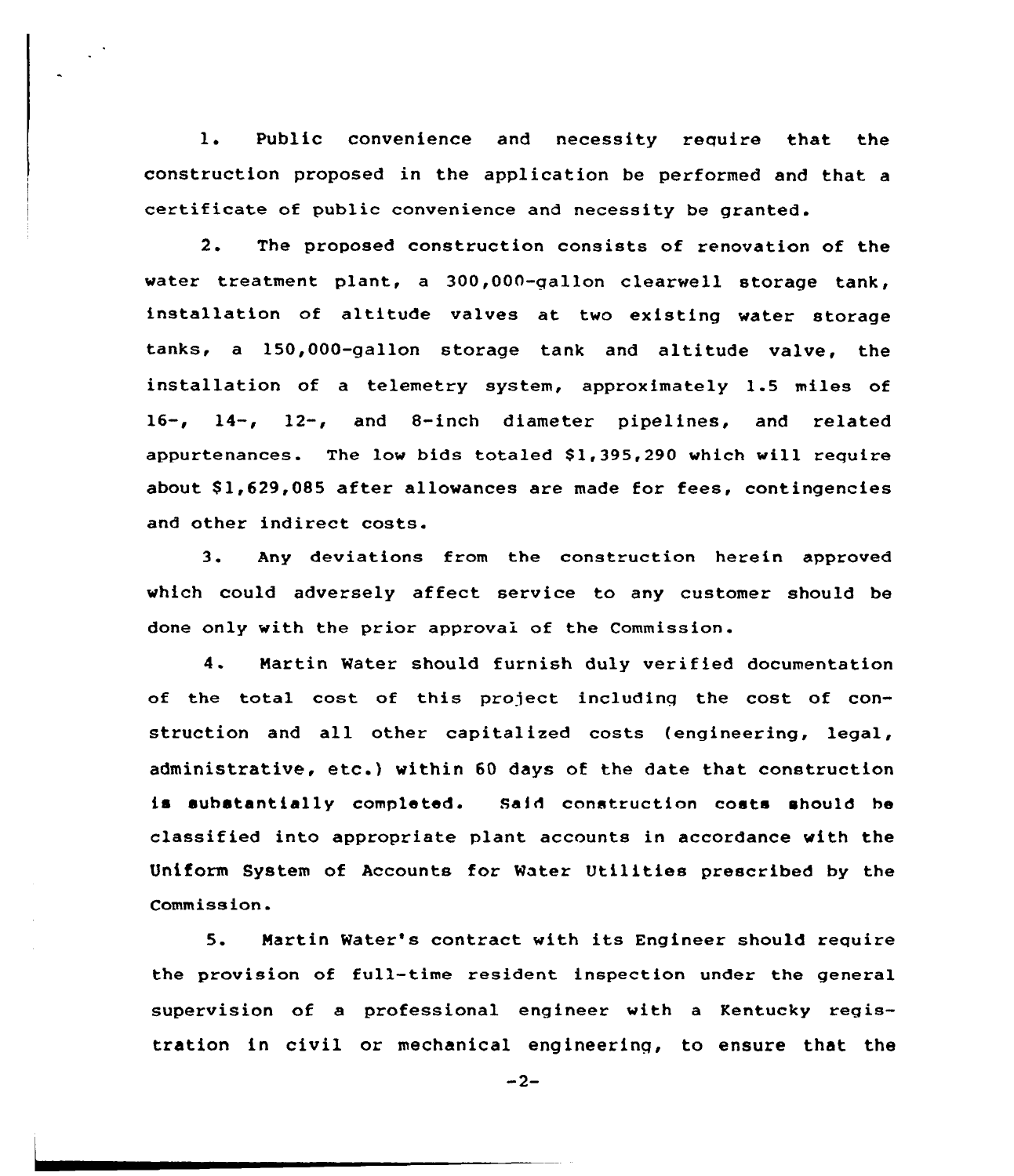1. Public convenience and necessity require that the construction proposed in the application be performed and that a certificate of public convenience and necessity be granted.

2. The proposed construction consists of renovation of the water treatment plant, a 300,000-qallon clearwell storage tank, installation of altitude valves at two existing water storage tanks, a 150,000-gallon storage tank and altitude valve, the installation of a telemetry system, approximately 1.5 miles of 16-, 14-, 12-, and 8-inch diameter pipelines, and related appurtenances. The low bids totaled \$1,395,290 which will require about \$1,629,085 after allowances are made for fees, contingencies and other indirect costs.

3. Any deviations from the construction herein approved which could adversely affect service to any customer should be done only with the prior approval of the Commission.

4. Martin Water should furnish duly verified documentation of the total cost of this project includinq the cost of construction and all other capitalized costs (engineering, legal, administrative, etc.) within <sup>60</sup> days of the date that construction is substantially completed. Said construction costs should be classified into appropriate plant accounts in accordance with the Uniform System of Accounts for Water Utilities prescribed by the Commission.

5. Martin Water's contract with its Engineer should require the provision of full-time resident inspection under the general supervision of a professional engineer with a Kentucky registration in civil or mechanical engineering, to ensure that the

 $-2-$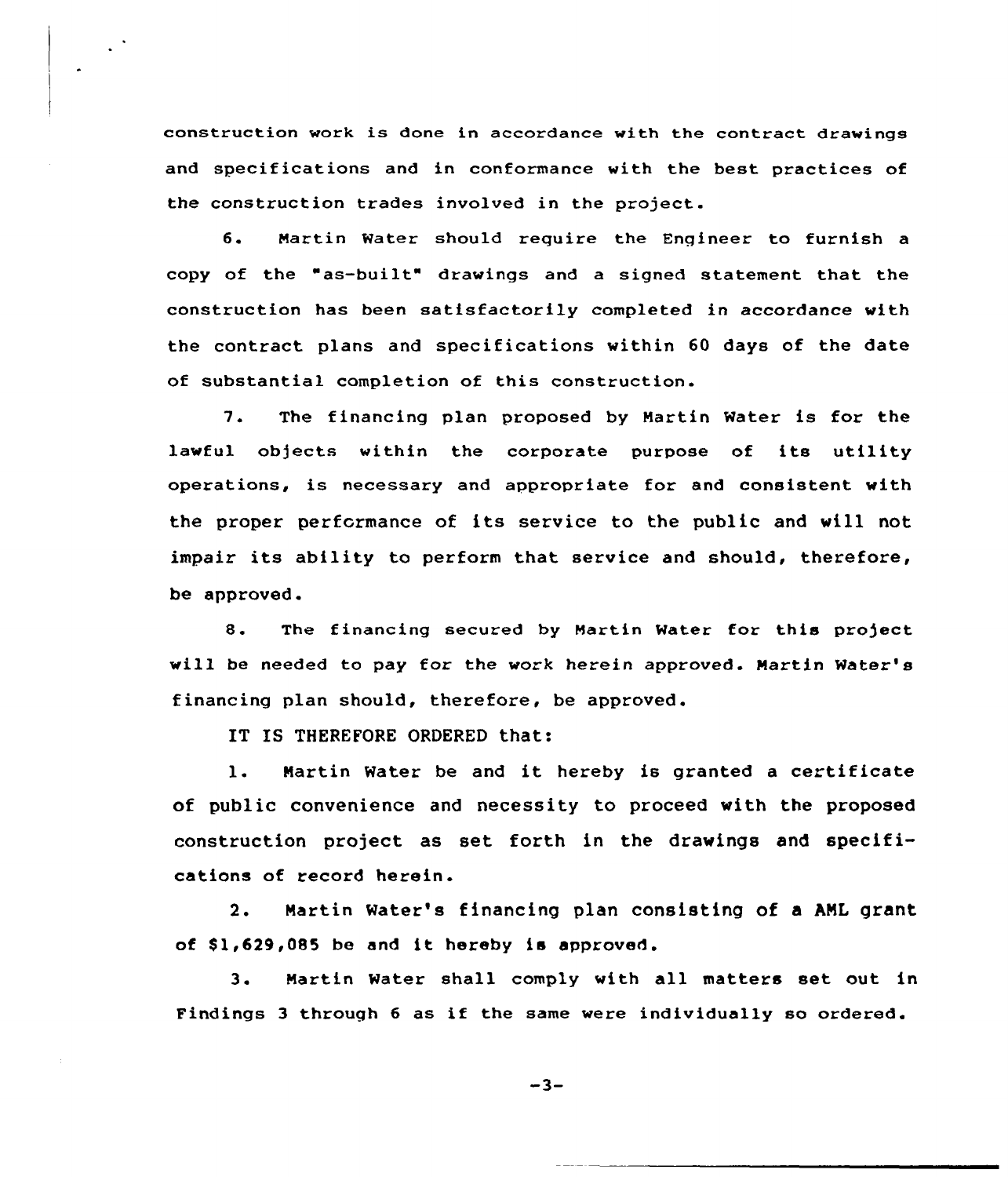construction work is done in accordance with the contract drawings and specifications and in conformance with the best practices of the construction trades involved in the project.

6. Hartin Water should require the Engineer to furnish a copy of the "as-built" drawings and a signed statement that the construction has been satisfactorily completed in accordance with the contract plans and specifications within 60 days of the date of substantial completion of this construction.

7. The financing plan proposed by Hartin Water is for the lawful objects within the corporate purpose of its utility operations, is necessary and appropriate for and consistent with the proper performance of its service to the public and will not impair its ability to perform that service and should, therefore, be approved.

8. The financing secured by Martin Water for this project will be needed to pay for the work herein approved. Martin Water's financing plan should, therefore, be approved.

IT IS THEREFORE ORDERED that:

1. Martin Water be and it hereby is granted <sup>a</sup> certificate of public convenience and necessity to proceed with the proposed construction project as set forth in the drawings and specifications of record herein.

2. Martin Water's financing plan consisting of a ANL grant of \$1,629,085 be and it hereby is approved.

3. Martin Water shall comply with all matters set out in Findings <sup>3</sup> through <sup>6</sup> as if the same were individually so ordered.

 $-3-$